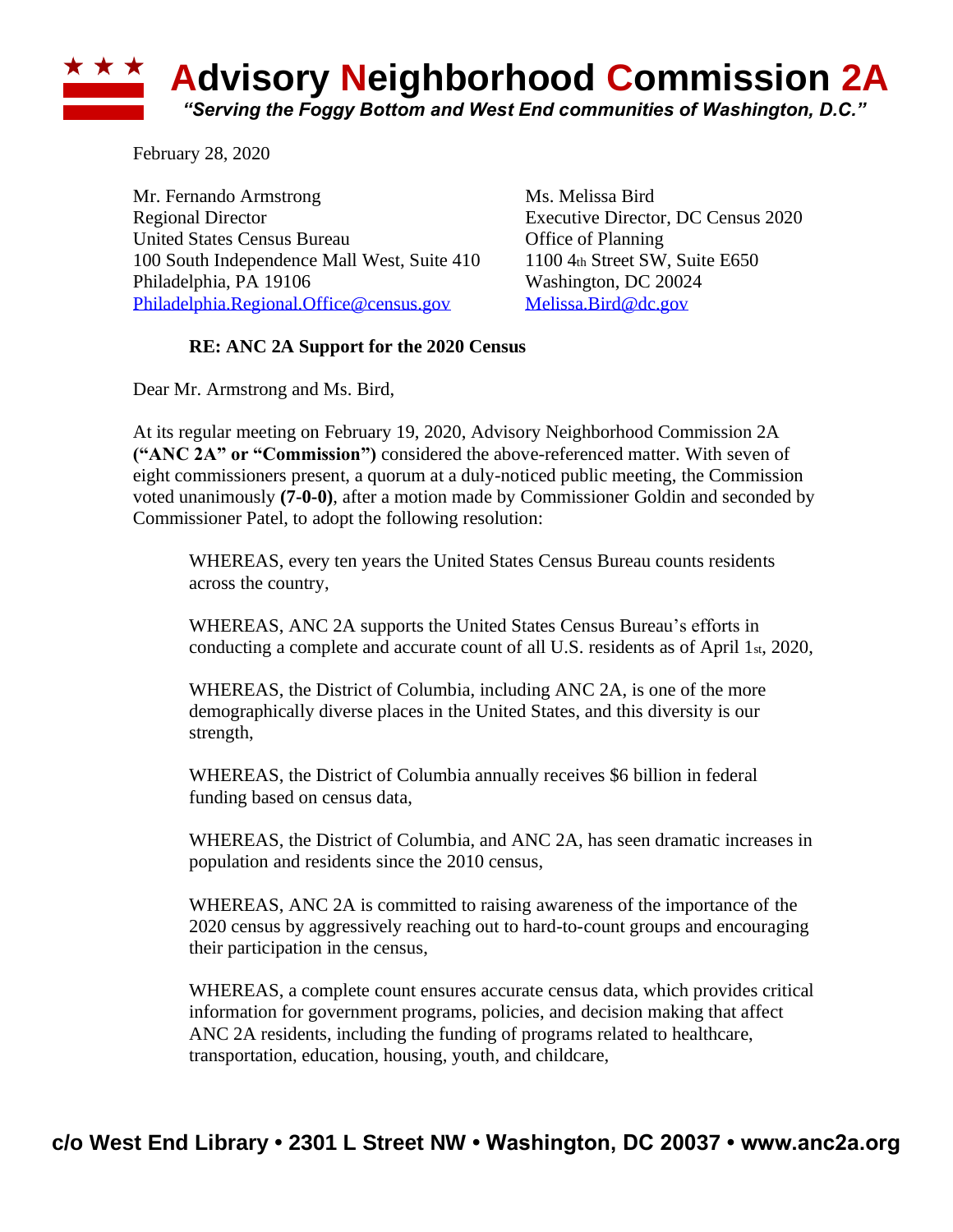

February 28, 2020

Mr. Fernando Armstrong Ms. Melissa Bird Regional Director Executive Director, DC Census 2020 United States Census Bureau Office of Planning 100 South Independence Mall West, Suite 410 1100 4th Street SW, Suite E650 Philadelphia, PA 19106 Washington, DC 20024 [Philadelphia.Regional.Office@census.gov](mailto:Philadelphia.Regional.Office@census.gov) [Melissa.Bird@dc.gov](mailto:Melissa.Bird@dc.gov)

## **RE: ANC 2A Support for the 2020 Census**

Dear Mr. Armstrong and Ms. Bird,

At its regular meeting on February 19, 2020, Advisory Neighborhood Commission 2A **("ANC 2A" or "Commission")** considered the above-referenced matter. With seven of eight commissioners present, a quorum at a duly-noticed public meeting, the Commission voted unanimously **(7-0-0)**, after a motion made by Commissioner Goldin and seconded by Commissioner Patel, to adopt the following resolution:

WHEREAS, every ten years the United States Census Bureau counts residents across the country,

WHEREAS, ANC 2A supports the United States Census Bureau's efforts in conducting a complete and accurate count of all U.S. residents as of April 1st, 2020,

WHEREAS, the District of Columbia, including ANC 2A, is one of the more demographically diverse places in the United States, and this diversity is our strength,

WHEREAS, the District of Columbia annually receives \$6 billion in federal funding based on census data,

WHEREAS, the District of Columbia, and ANC 2A, has seen dramatic increases in population and residents since the 2010 census,

WHEREAS, ANC 2A is committed to raising awareness of the importance of the 2020 census by aggressively reaching out to hard-to-count groups and encouraging their participation in the census,

WHEREAS, a complete count ensures accurate census data, which provides critical information for government programs, policies, and decision making that affect ANC 2A residents, including the funding of programs related to healthcare, transportation, education, housing, youth, and childcare,